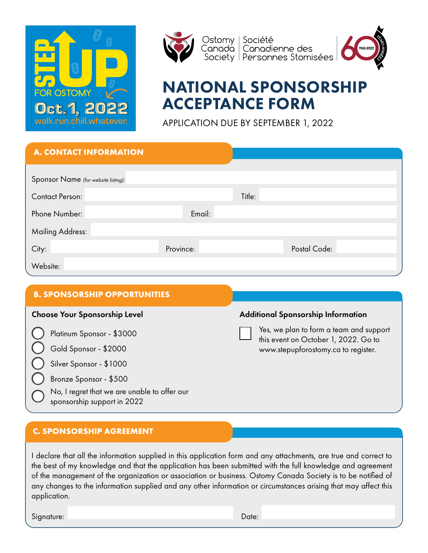



Ostomv Société Canada | Canadienne des<br>Society | Personnes Stomisées | Canadal



# NATIONAL SPONSORSHIP ACCEPTANCE FORM

APPLICATION DUE BY SEPTEMBER 1, 2022

| <b>A. CONTACT INFORMATION</b>       |           |        |              |
|-------------------------------------|-----------|--------|--------------|
| Sponsor Name (for website listing): |           |        |              |
| <b>Contact Person:</b>              |           | Title: |              |
| Phone Number:                       | Email:    |        |              |
| <b>Mailing Address:</b>             |           |        |              |
| City:                               | Province: |        | Postal Code: |
| Website:                            |           |        |              |

### **B. SPONSORSHIP OPPORTUNITIES**

Silver Sponsor - \$1000

Bronze Sponsor - \$500

No, I regret that we are unable to offer our sponsorship support in 2022

### Choose Your Sponsorship Level **Additional Sponsorship Information**

Platinum Sponsor - \$3000 Yes, we plan to form a team and support Platinum Sponsor - \$3000 this event on October 1, 2022. Go to Gold Sponsor - \$2000 [www.stepupforostomy.ca](http://www.stepupforostomy.ca) to register.

### **C. SPONSORSHIP AGREEMENT**

I declare that all the information supplied in this application form and any attachments, are true and correct to the best of my knowledge and that the application has been submitted with the full knowledge and agreement of the management of the organization or association or business. Ostomy Canada Society is to be notified of any changes to the information supplied and any other information or circumstances arising that may affect this application.

Signature: Date: Date: Date: Date: Date: Date: Date: Date: Date: Date: Date: Date: Date: Date: Date: Date: Date: Date: Date: Date: Date: Date: Date: Date: Date: Date: Date: Date: Date: Date: Date: Date: Date: Date: Date: D